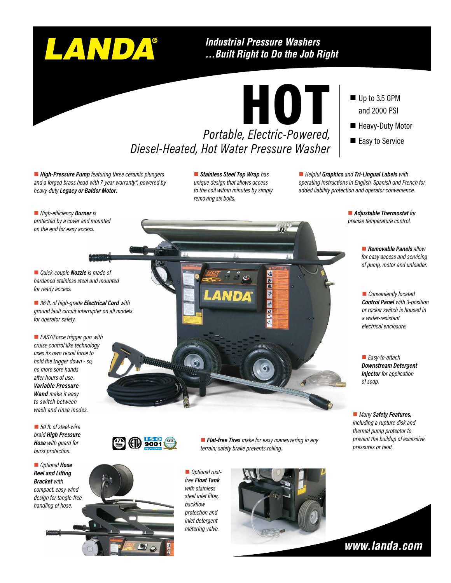# LANDA®

#### **Industrial Pressure Washers** ...Built Right to Do the Job Right



Up to 3.5 GPM and 2000 PSI

- **Heavy-Duty Motor**
- Easy to Service

■ High-Pressure Pump featuring three ceramic plungers *and a forged brass head with 7-year warranty\*, powered by heavy-duty Legacy or Baldor Motor.*

**n** Stainless Steel Top Wrap has *unique design that allows access to the coil within minutes by simply removing six bolts.*

n *Helpful Graphics and Tri-Lingual Labels with operating instructions in English, Spanish and French for added liability protection and operator convenience.*

■ *High-efficiency* **Burner** *is protected by a cover and mounted on the end for easy access.*

■ *Quick-couple Nozzle is made of hardened stainless steel and mounted for ready access.*

■ 36 ft. of high-grade *Electrical Cord with ground fault circuit interrupter on all models for operator safety.*

■ *EASY!Force trigger gun with cruise control like technology uses its own recoil force to hold the trigger down - so, no more sore hands after hours of use. Variable Pressure Wand make it easy to switch between wash and rinse modes.*

■ 50 ft. of steel-wire *braid High Pressure Hose with guard for burst protection.*

n *Optional Hose Reel and Lifting Bracket with compact, easy-wind design for tangle-free handling of hose.*



■ **Flat-free Tires** make for easy maneuvering in any *terrain; safety brake prevents rolling.*

 $\boldsymbol{\Omega}$ 

 $\overline{z}$ 

**n** *Optional rustfree Float Tank with stainless steel inlet filter, backflow protection and inlet detergent metering valve.*



■ Adjustable Thermostat for *precise temperature control.*

> **n** *Removable Panels allow for easy access and servicing of pump, motor and unloader.*

**n** *Conveniently located Control Panel with 3-position or rocker switch is housed in a water-resistant electrical enclosure.*

■ *Easy-to-attach Downstream Detergent Injector for application of soap.*

■ *Many Safety Features*, *including a rupture disk and thermal pump protector to prevent the buildup of excessive pressures or heat.*